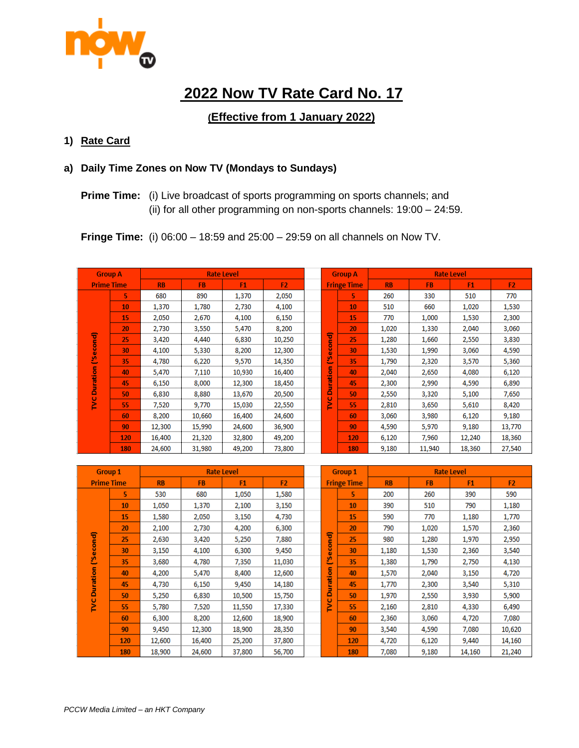

# **2022 Now TV Rate Card No. 17**

# **(Effective from 1 January 2022)**

#### **1) Rate Card**

# **a) Daily Time Zones on Now TV (Mondays to Sundays)**

**Prime Time:** (i) Live broadcast of sports programming on sports channels; and (ii) for all other programming on non-sports channels: 19:00 – 24:59.

**Fringe Time:** (i) 06:00 – 18:59 and 25:00 – 29:59 on all channels on Now TV.

| <b>Group A</b>    |     | <b>Rate Level</b> |           |                |                |  | <b>Group A</b>     |     | <b>Rate Level</b> |           |                |                |
|-------------------|-----|-------------------|-----------|----------------|----------------|--|--------------------|-----|-------------------|-----------|----------------|----------------|
| <b>Prime Time</b> |     | <b>RB</b>         | <b>FB</b> | F <sub>1</sub> | F <sub>2</sub> |  | <b>Fringe Time</b> |     | <b>RB</b>         | <b>FB</b> | F <sub>1</sub> | F <sub>2</sub> |
|                   | 5   | 680               | 890       | 1,370          | 2,050          |  |                    | 5.  | 260               | 330       | 510            | 770            |
|                   | 10  | 1,370             | 1.780     | 2,730          | 4,100          |  | cond)<br>$\omega$  | 10  | 510               | 660       | 1,020          | 1,530          |
|                   | 15  | 2.050             | 2,670     | 4,100          | 6,150          |  |                    | 15  | 770               | 1,000     | 1,530          | 2,300          |
|                   | 20  | 2,730             | 3,550     | 5,470          | 8,200          |  |                    | 20  | 1,020             | 1,330     | 2,040          | 3,060          |
| cond)             | 25  | 3,420             | 4,440     | 6,830          | 10,250         |  |                    | 25  | 1,280             | 1,660     | 2,550          | 3,830          |
| $\bar{\omega}$    | 30  | 4,100             | 5,330     | 8,200          | 12,300         |  |                    | 30  | 1,530             | 1,990     | 3,060          | 4,590          |
| ₫                 | 35  | 4,780             | 6,220     | 9,570          | 14,350         |  | 'n,<br>$\sim$      | 35  | 1,790             | 2,320     | 3,570          | 5,360          |
|                   | 40  | 5.470             | 7,110     | 10,930         | 16,400         |  |                    | 40  | 2,040             | 2,650     | 4,080          | 6,120          |
| Duration          | 45  | 6,150             | 8,000     | 12,300         | 18,450         |  | Duration<br>Ü<br>⇒ | 45  | 2,300             | 2,990     | 4,590          | 6,890          |
|                   | 50  | 6,830             | 8,880     | 13,670         | 20,500         |  |                    | 50  | 2,550             | 3,320     | 5,100          | 7,650          |
| ž                 | 55  | 7,520             | 9,770     | 15,030         | 22,550         |  |                    | 55  | 2,810             | 3,650     | 5,610          | 8,420          |
|                   | 60  | 8,200             | 10,660    | 16,400         | 24,600         |  |                    | 60  | 3,060             | 3,980     | 6,120          | 9,180          |
|                   | 90  | 12,300            | 15,990    | 24,600         | 36,900         |  |                    | 90  | 4,590             | 5,970     | 9,180          | 13,770         |
|                   | 120 | 16,400            | 21,320    | 32,800         | 49,200         |  |                    | 120 | 6.120             | 7.960     | 12,240         | 18,360         |
|                   | 180 | 24,600            | 31,980    | 49,200         | 73,800         |  |                    | 180 | 9,180             | 11,940    | 18,360         | 27,540         |

| <b>Group 1</b>    |     | <b>Rate Level</b> |           |                |                |  |                    | <b>Group 1</b> | <b>Rate Level</b> |           |                |                |
|-------------------|-----|-------------------|-----------|----------------|----------------|--|--------------------|----------------|-------------------|-----------|----------------|----------------|
| <b>Prime Time</b> |     | <b>RB</b>         | <b>FB</b> | F <sub>1</sub> | F <sub>2</sub> |  | <b>Fringe Time</b> |                | <b>RB</b>         | <b>FB</b> | F <sub>1</sub> | F <sub>2</sub> |
|                   | 5   | 530               | 680       | 1,050          | 1,580          |  |                    | 5              | 200               | 260       | 390            | 590            |
|                   | 10  | 1,050             | 1,370     | 2,100          | 3,150          |  | cond)<br>$\omega$  | 10             | 390               | 510       | 790            | 1,180          |
|                   | 15  | 1,580             | 2,050     | 3,150          | 4,730          |  |                    | 15             | 590               | 770       | 1,180          | 1,770          |
|                   | 20  | 2,100             | 2.730     | 4,200          | 6,300          |  |                    | 20             | 790               | 1,020     | 1,570          | 2,360          |
| econd)            | 25  | 2,630             | 3,420     | 5,250          | 7,880          |  |                    | 25             | 980               | 1,280     | 1,970          | 2,950          |
|                   | 30  | 3,150             | 4,100     | 6,300          | 9,450          |  |                    | 30             | 1,180             | 1,530     | 2,360          | 3,540          |
| లి                | 35  | 3,680             | 4,780     | 7,350          | 11,030         |  | Ě                  | 35             | 1,380             | 1,790     | 2,750          | 4,130          |
|                   | 40  | 4,200             | 5,470     | 8,400          | 12,600         |  | ration             | 40             | 1,570             | 2,040     | 3,150          | 4,720          |
| Duration          | 45  | 4,730             | 6,150     | 9,450          | 14,180         |  |                    | 45             | 1,770             | 2,300     | 3,540          | 5,310          |
|                   | 50  | 5,250             | 6,830     | 10,500         | 15,750         |  | ā<br>O             | 50             | 1,970             | 2,550     | 3,930          | 5,900          |
| ž                 | 55  | 5,780             | 7,520     | 11,550         | 17,330         |  | Ź                  | 55             | 2,160             | 2,810     | 4,330          | 6,490          |
|                   | 60  | 6,300             | 8,200     | 12,600         | 18,900         |  |                    | 60             | 2,360             | 3,060     | 4,720          | 7,080          |
|                   | 90  | 9,450             | 12,300    | 18,900         | 28,350         |  |                    | 90             | 3,540             | 4,590     | 7,080          | 10,620         |
|                   | 120 | 12,600            | 16,400    | 25,200         | 37,800         |  |                    | 120            | 4,720             | 6,120     | 9,440          | 14,160         |
|                   | 180 | 18,900            | 24,600    | 37,800         | 56,700         |  |                    | 180            | 7,080             | 9,180     | 14,160         | 21,240         |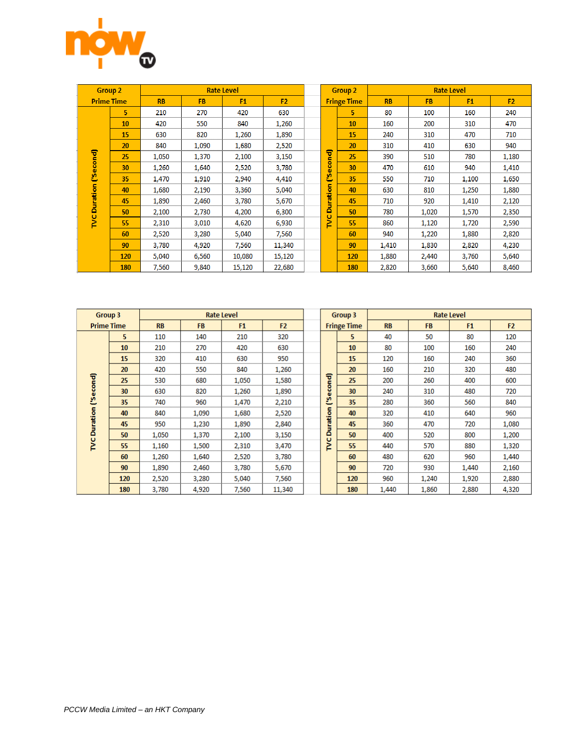

| <b>Group 2</b>    |                | <b>Rate Level</b> |           |                |                |  |                    | <b>Group 2</b> | <b>Rate Level</b> |           |                |                |
|-------------------|----------------|-------------------|-----------|----------------|----------------|--|--------------------|----------------|-------------------|-----------|----------------|----------------|
| <b>Prime Time</b> |                | <b>RB</b>         | <b>FB</b> | F <sub>1</sub> | F <sub>2</sub> |  | <b>Fringe Time</b> |                | <b>RB</b>         | <b>FB</b> | F <sub>1</sub> | F <sub>2</sub> |
|                   | 5 <sup>1</sup> | 210               | 270       | 420            | 630            |  |                    | 5.             | 80                | 100       | 160            | 240            |
|                   | 10             | 420               | 550       | 840            | 1,260          |  | cond)              | 10             | 160               | 200       | 310            | 470            |
|                   | 15             | 630               | 820       | 1,260          | 1,890          |  |                    | 15             | 240               | 310       | 470            | 710            |
|                   | 20             | 840               | 1,090     | 1,680          | 2,520          |  |                    | 20             | 310               | 410       | 630            | 940            |
| econd)            | 25             | 1,050             | 1,370     | 2,100          | 3,150          |  |                    | 25             | 390               | 510       | 780            | 1,180          |
|                   | 30             | 1,260             | 1,640     | 2,520          | 3,780          |  | $\omega$           | 30             | 470               | 610       | 940            | 1,410          |
| Ø                 | 35             | 1,470             | 1,910     | 2,940          | 4,410          |  | బి                 | 35             | 550               | 710       | 1,100          | 1,650          |
|                   | 40             | 1,680             | 2,190     | 3,360          | 5,040          |  |                    | 40             | 630               | 810       | 1,250          | 1,880          |
| Duration          | 45             | 1,890             | 2,460     | 3,780          | 5,670          |  | Duration           | 45             | 710               | 920       | 1,410          | 2,120          |
|                   | 50             | 2,100             | 2,730     | 4,200          | 6,300          |  | o                  | 50             | 780               | 1,020     | 1,570          | 2,350          |
| ğ                 | 55             | 2,310             | 3,010     | 4,620          | 6,930          |  | Ē                  | 55             | 860               | 1,120     | 1,720          | 2,590          |
|                   | 60             | 2,520             | 3,280     | 5,040          | 7,560          |  |                    | 60             | 940               | 1,220     | 1,880          | 2,820          |
|                   | 90             | 3,780             | 4,920     | 7,560          | 11,340         |  |                    | 90             | 1,410             | 1,830     | 2,820          | 4,230          |
|                   | <b>120</b>     | 5,040             | 6,560     | 10,080         | 15,120         |  |                    | 120            | 1,880             | 2,440     | 3,760          | 5,640          |
|                   | <b>180</b>     | 7,560             | 9,840     | 15,120         | 22,680         |  |                    | 180            | 2,820             | 3,660     | 5,640          | 8,460          |

| Group 3           |     | <b>Rate Level</b> |           |                |                |  |                    | Group 3 | <b>Rate Level</b> |           |                |                |
|-------------------|-----|-------------------|-----------|----------------|----------------|--|--------------------|---------|-------------------|-----------|----------------|----------------|
| <b>Prime Time</b> |     | <b>RB</b>         | <b>FB</b> | F <sub>1</sub> | F <sub>2</sub> |  | <b>Fringe Time</b> |         | <b>RB</b>         | <b>FB</b> | F <sub>1</sub> | F <sub>2</sub> |
|                   | 5.  | 110               | 140       | 210            | 320            |  |                    | 5.      | 40                | 50        | 80             | 120            |
|                   | 10  | 210               | 270       | 420            | 630            |  | cond)<br>$\omega$  | 10      | 80                | 100       | 160            | 240            |
|                   | 15  | 320               | 410       | 630            | 950            |  |                    | 15      | 120               | 160       | 240            | 360            |
|                   | 20  | 420               | 550       | 840            | 1,260          |  |                    | 20      | 160               | 210       | 320            | 480            |
| econd)            | 25  | 530               | 680       | 1,050          | 1,580          |  |                    | 25      | 200               | 260       | 400            | 600            |
|                   | 30  | 630               | 820       | 1,260          | 1,890          |  |                    | 30      | 240               | 310       | 480            | 720            |
| లి                | 35  | 740               | 960       | 1,470          | 2,210          |  | ş۵<br>÷            | 35      | 280               | 360       | 560            | 840            |
|                   | 40  | 840               | 1,090     | 1,680          | 2,520          |  | ration             | 40      | 320               | 410       | 640            | 960            |
| Duration          | 45  | 950               | 1,230     | 1,890          | 2,840          |  |                    | 45      | 360               | 470       | 720            | 1,080          |
|                   | 50  | 1,050             | 1,370     | 2,100          | 3,150          |  | ā                  | 50      | 400               | 520       | 800            | 1,200          |
| ž                 | 55  | 1,160             | 1,500     | 2,310          | 3,470          |  | ž                  | 55      | 440               | 570       | 880            | 1,320          |
|                   | 60  | 1,260             | 1,640     | 2,520          | 3,780          |  |                    | 60      | 480               | 620       | 960            | 1,440          |
|                   | 90  | 1,890             | 2,460     | 3,780          | 5,670          |  |                    | 90      | 720               | 930       | 1,440          | 2,160          |
|                   | 120 | 2,520             | 3,280     | 5,040          | 7,560          |  |                    | 120     | 960               | 1,240     | 1,920          | 2,880          |
|                   | 180 | 3,780             | 4,920     | 7,560          | 11,340         |  |                    | 180     | 1,440             | 1,860     | 2,880          | 4,320          |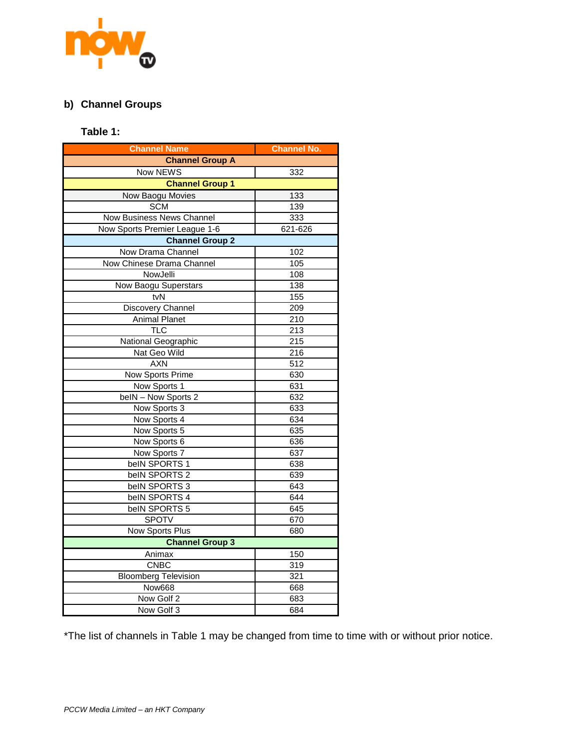

# **b) Channel Groups**

## **Table 1:**

| <b>Channel Name</b>              | <b>Channel No.</b> |  |  |  |  |  |  |  |
|----------------------------------|--------------------|--|--|--|--|--|--|--|
| <b>Channel Group A</b>           |                    |  |  |  |  |  |  |  |
| Now NEWS                         | 332                |  |  |  |  |  |  |  |
| <b>Channel Group 1</b>           |                    |  |  |  |  |  |  |  |
| Now Baogu Movies                 | 133                |  |  |  |  |  |  |  |
| <b>SCM</b>                       | 139                |  |  |  |  |  |  |  |
| <b>Now Business News Channel</b> | 333                |  |  |  |  |  |  |  |
| Now Sports Premier League 1-6    | 621-626            |  |  |  |  |  |  |  |
| <b>Channel Group 2</b>           |                    |  |  |  |  |  |  |  |
| Now Drama Channel                | 102                |  |  |  |  |  |  |  |
| Now Chinese Drama Channel        | 105                |  |  |  |  |  |  |  |
| NowJelli                         | 108                |  |  |  |  |  |  |  |
| Now Baogu Superstars             | 138                |  |  |  |  |  |  |  |
| tvN                              | 155                |  |  |  |  |  |  |  |
| <b>Discovery Channel</b>         | 209                |  |  |  |  |  |  |  |
| <b>Animal Planet</b>             | 210                |  |  |  |  |  |  |  |
| TLC                              | 213                |  |  |  |  |  |  |  |
| National Geographic              | 215                |  |  |  |  |  |  |  |
| Nat Geo Wild                     | 216                |  |  |  |  |  |  |  |
| <b>AXN</b>                       | 512                |  |  |  |  |  |  |  |
| Now Sports Prime                 | 630                |  |  |  |  |  |  |  |
| Now Sports 1                     | 631                |  |  |  |  |  |  |  |
| belN - Now Sports 2              | 632                |  |  |  |  |  |  |  |
| Now Sports 3                     | 633                |  |  |  |  |  |  |  |
| Now Sports 4                     | 634                |  |  |  |  |  |  |  |
| Now Sports 5                     | 635                |  |  |  |  |  |  |  |
| Now Sports 6                     | 636                |  |  |  |  |  |  |  |
| Now Sports 7                     | 637                |  |  |  |  |  |  |  |
| belN SPORTS 1                    | 638                |  |  |  |  |  |  |  |
| belN SPORTS 2                    | 639                |  |  |  |  |  |  |  |
| belN SPORTS 3                    | 643                |  |  |  |  |  |  |  |
| belN SPORTS 4                    | 644                |  |  |  |  |  |  |  |
| belN SPORTS 5                    | 645                |  |  |  |  |  |  |  |
| <b>SPOTV</b>                     | 670                |  |  |  |  |  |  |  |
| Now Sports Plus                  | 680                |  |  |  |  |  |  |  |
| <b>Channel Group 3</b>           |                    |  |  |  |  |  |  |  |
| Animax                           | 150                |  |  |  |  |  |  |  |
| <b>CNBC</b>                      | 319                |  |  |  |  |  |  |  |
| <b>Bloomberg Television</b>      | 321                |  |  |  |  |  |  |  |
| Now668                           | 668                |  |  |  |  |  |  |  |
| Now Golf 2                       | 683                |  |  |  |  |  |  |  |
| Now Golf 3                       | 684                |  |  |  |  |  |  |  |

\*The list of channels in Table 1 may be changed from time to time with or without prior notice.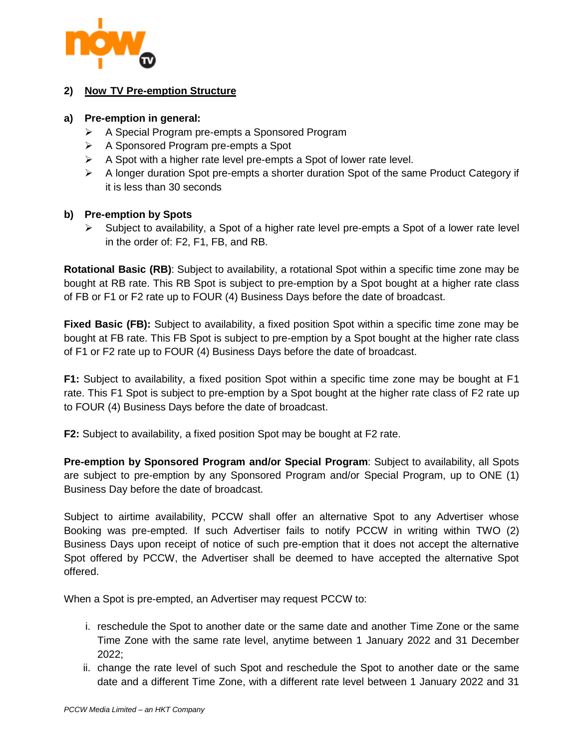

#### **2) Now TV Pre-emption Structure**

#### **a) Pre-emption in general:**

- A Special Program pre-empts a Sponsored Program
- A Sponsored Program pre-empts a Spot
- $\triangleright$  A Spot with a higher rate level pre-empts a Spot of lower rate level.
- $\triangleright$  A longer duration Spot pre-empts a shorter duration Spot of the same Product Category if it is less than 30 seconds

#### **b) Pre-emption by Spots**

 $\triangleright$  Subject to availability, a Spot of a higher rate level pre-empts a Spot of a lower rate level in the order of: F2, F1, FB, and RB.

**Rotational Basic (RB)**: Subject to availability, a rotational Spot within a specific time zone may be bought at RB rate. This RB Spot is subject to pre-emption by a Spot bought at a higher rate class of FB or F1 or F2 rate up to FOUR (4) Business Days before the date of broadcast.

**Fixed Basic (FB):** Subject to availability, a fixed position Spot within a specific time zone may be bought at FB rate. This FB Spot is subject to pre-emption by a Spot bought at the higher rate class of F1 or F2 rate up to FOUR (4) Business Days before the date of broadcast.

**F1:** Subject to availability, a fixed position Spot within a specific time zone may be bought at F1 rate. This F1 Spot is subject to pre-emption by a Spot bought at the higher rate class of F2 rate up to FOUR (4) Business Days before the date of broadcast.

**F2:** Subject to availability, a fixed position Spot may be bought at F2 rate.

**Pre-emption by Sponsored Program and/or Special Program**: Subject to availability, all Spots are subject to pre-emption by any Sponsored Program and/or Special Program, up to ONE (1) Business Day before the date of broadcast.

Subject to airtime availability, PCCW shall offer an alternative Spot to any Advertiser whose Booking was pre-empted. If such Advertiser fails to notify PCCW in writing within TWO (2) Business Days upon receipt of notice of such pre-emption that it does not accept the alternative Spot offered by PCCW, the Advertiser shall be deemed to have accepted the alternative Spot offered.

When a Spot is pre-empted, an Advertiser may request PCCW to:

- i. reschedule the Spot to another date or the same date and another Time Zone or the same Time Zone with the same rate level, anytime between 1 January 2022 and 31 December 2022;
- ii. change the rate level of such Spot and reschedule the Spot to another date or the same date and a different Time Zone, with a different rate level between 1 January 2022 and 31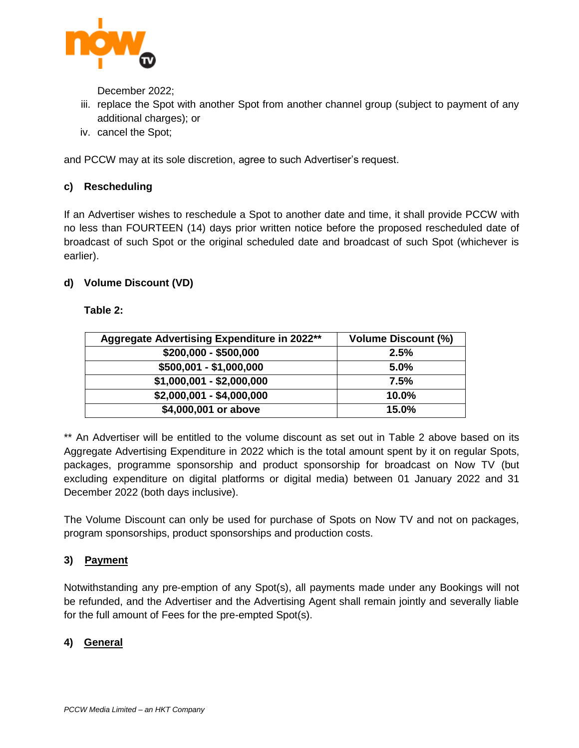

December 2022;

- iii. replace the Spot with another Spot from another channel group (subject to payment of any additional charges); or
- iv. cancel the Spot;

and PCCW may at its sole discretion, agree to such Advertiser's request.

# **c) Rescheduling**

If an Advertiser wishes to reschedule a Spot to another date and time, it shall provide PCCW with no less than FOURTEEN (14) days prior written notice before the proposed rescheduled date of broadcast of such Spot or the original scheduled date and broadcast of such Spot (whichever is earlier).

# **d) Volume Discount (VD)**

#### **Table 2:**

| Aggregate Advertising Expenditure in 2022** | <b>Volume Discount (%)</b> |
|---------------------------------------------|----------------------------|
| $$200,000 - $500,000$                       | 2.5%                       |
| $$500,001 - $1,000,000$                     | 5.0%                       |
| $$1,000,001 - $2,000,000$                   | 7.5%                       |
| $$2,000,001 - $4,000,000$                   | 10.0%                      |
| \$4,000,001 or above                        | 15.0%                      |

\*\* An Advertiser will be entitled to the volume discount as set out in Table 2 above based on its Aggregate Advertising Expenditure in 2022 which is the total amount spent by it on regular Spots, packages, programme sponsorship and product sponsorship for broadcast on Now TV (but excluding expenditure on digital platforms or digital media) between 01 January 2022 and 31 December 2022 (both days inclusive).

The Volume Discount can only be used for purchase of Spots on Now TV and not on packages, program sponsorships, product sponsorships and production costs.

# **3) Payment**

Notwithstanding any pre-emption of any Spot(s), all payments made under any Bookings will not be refunded, and the Advertiser and the Advertising Agent shall remain jointly and severally liable for the full amount of Fees for the pre-empted Spot(s).

# **4) General**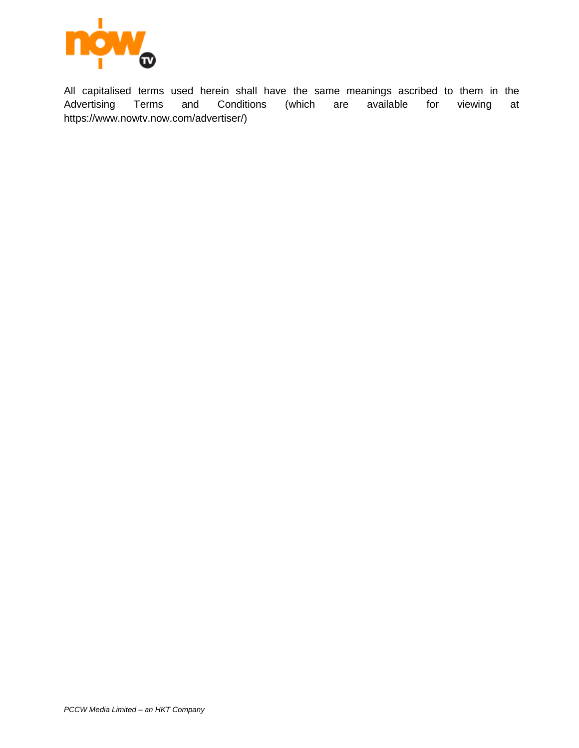

All capitalised terms used herein shall have the same meanings ascribed to them in the Advertising Terms and Conditions (which are available for viewing at https://www.nowtv.now.com/advertiser/)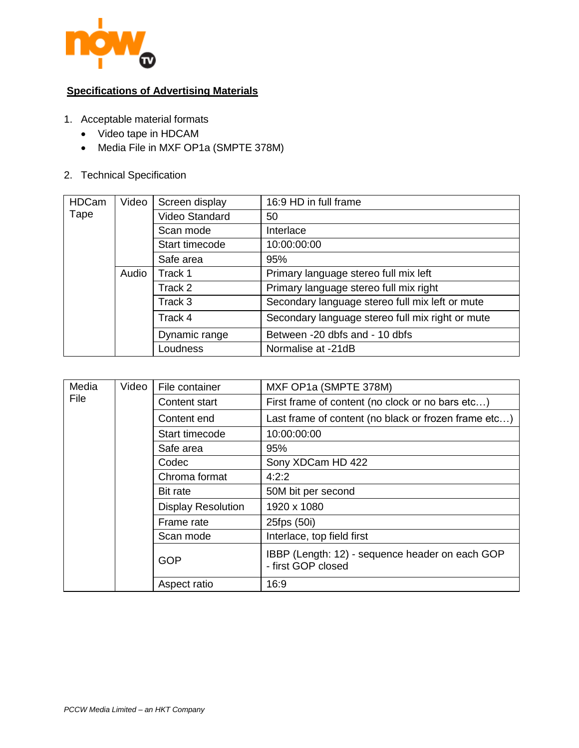

# **Specifications of Advertising Materials**

- 1. Acceptable material formats
	- Video tape in HDCAM
	- Media File in MXF OP1a (SMPTE 378M)
- 2. Technical Specification

| <b>HDCam</b> | Video | Screen display | 16:9 HD in full frame                            |  |  |  |
|--------------|-------|----------------|--------------------------------------------------|--|--|--|
| Tape         |       | Video Standard | 50                                               |  |  |  |
|              |       | Scan mode      | Interlace                                        |  |  |  |
|              |       | Start timecode | 10:00:00:00                                      |  |  |  |
|              |       | Safe area      | 95%                                              |  |  |  |
|              | Audio | Track 1        | Primary language stereo full mix left            |  |  |  |
|              |       | Track 2        | Primary language stereo full mix right           |  |  |  |
|              |       | Track 3        | Secondary language stereo full mix left or mute  |  |  |  |
|              |       | Track 4        | Secondary language stereo full mix right or mute |  |  |  |
|              |       | Dynamic range  | Between -20 dbfs and - 10 dbfs                   |  |  |  |
|              |       | Loudness       | Normalise at -21dB                               |  |  |  |

| Media | Video | File container            | MXF OP1a (SMPTE 378M)                                                 |
|-------|-------|---------------------------|-----------------------------------------------------------------------|
| File  |       | Content start             | First frame of content (no clock or no bars etc)                      |
|       |       | Content end               | Last frame of content (no black or frozen frame etc)                  |
|       |       | Start timecode            | 10:00:00:00                                                           |
|       |       | Safe area                 | 95%                                                                   |
|       |       | Codec                     | Sony XDCam HD 422                                                     |
|       |       | Chroma format             | 4:2:2                                                                 |
|       |       | <b>Bit rate</b>           | 50M bit per second                                                    |
|       |       | <b>Display Resolution</b> | 1920 x 1080                                                           |
|       |       | Frame rate                | 25fps (50i)                                                           |
|       |       | Scan mode                 | Interlace, top field first                                            |
|       |       | <b>GOP</b>                | IBBP (Length: 12) - sequence header on each GOP<br>- first GOP closed |
|       |       | Aspect ratio              | 16:9                                                                  |